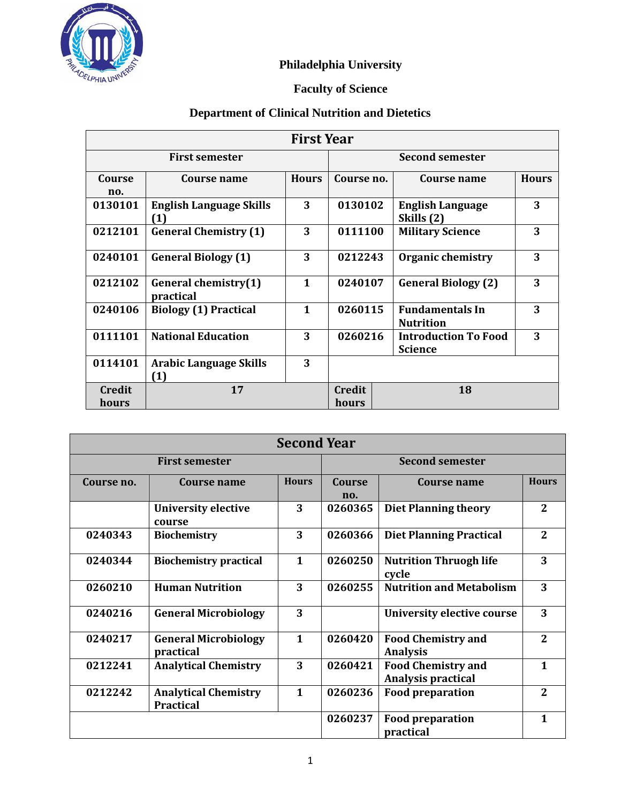

## **Philadelphia University**

## **Faculty of Science**

## **Department of Clinical Nutrition and Dietetics**

| <b>First Year</b>      |                                       |              |                 |                                               |              |
|------------------------|---------------------------------------|--------------|-----------------|-----------------------------------------------|--------------|
| <b>First semester</b>  |                                       |              | Second semester |                                               |              |
| Course<br>no.          | Course name                           | <b>Hours</b> | Course no.      | Course name                                   | <b>Hours</b> |
| 0130101                | <b>English Language Skills</b><br>(1) | 3            | 0130102         | <b>English Language</b><br>Skills (2)         | 3            |
| 0212101                | <b>General Chemistry (1)</b>          | 3            | 0111100         | <b>Military Science</b>                       | 3            |
| 0240101                | <b>General Biology (1)</b>            | 3            | 0212243         | <b>Organic chemistry</b>                      | 3            |
| 0212102                | General chemistry(1)<br>practical     | $\mathbf{1}$ | 0240107         | <b>General Biology (2)</b>                    | 3            |
| 0240106                | <b>Biology (1) Practical</b>          | $\mathbf{1}$ | 0260115         | <b>Fundamentals In</b><br><b>Nutrition</b>    | 3            |
| 0111101                | <b>National Education</b>             | 3            | 0260216         | <b>Introduction To Food</b><br><b>Science</b> | 3            |
| 0114101                | <b>Arabic Language Skills</b><br>(1)  | 3            |                 |                                               |              |
| <b>Credit</b><br>hours | 17                                    |              | Credit<br>hours | 18                                            |              |

| <b>Second Year</b>    |                                                 |              |                        |                                                        |                |
|-----------------------|-------------------------------------------------|--------------|------------------------|--------------------------------------------------------|----------------|
| <b>First semester</b> |                                                 |              | <b>Second semester</b> |                                                        |                |
| Course no.            | Course name                                     | <b>Hours</b> | Course<br>no.          | Course name                                            | <b>Hours</b>   |
|                       | <b>University elective</b><br>course            | 3            | 0260365                | <b>Diet Planning theory</b>                            | $\mathbf{2}$   |
| 0240343               | <b>Biochemistry</b>                             | 3            | 0260366                | <b>Diet Planning Practical</b>                         | $\overline{2}$ |
| 0240344               | <b>Biochemistry practical</b>                   | $\mathbf{1}$ | 0260250                | <b>Nutrition Thruogh life</b><br>cycle                 | 3              |
| 0260210               | <b>Human Nutrition</b>                          | 3            | 0260255                | <b>Nutrition and Metabolism</b>                        | 3              |
| 0240216               | <b>General Microbiology</b>                     | 3            |                        | University elective course                             | 3              |
| 0240217               | <b>General Microbiology</b><br>practical        | $\mathbf{1}$ | 0260420                | <b>Food Chemistry and</b><br><b>Analysis</b>           | $\overline{2}$ |
| 0212241               | <b>Analytical Chemistry</b>                     | 3            | 0260421                | <b>Food Chemistry and</b><br><b>Analysis practical</b> | $\mathbf{1}$   |
| 0212242               | <b>Analytical Chemistry</b><br><b>Practical</b> | $\mathbf{1}$ | 0260236                | <b>Food preparation</b>                                | $\overline{2}$ |
|                       |                                                 |              | 0260237                | <b>Food preparation</b><br>practical                   | 1              |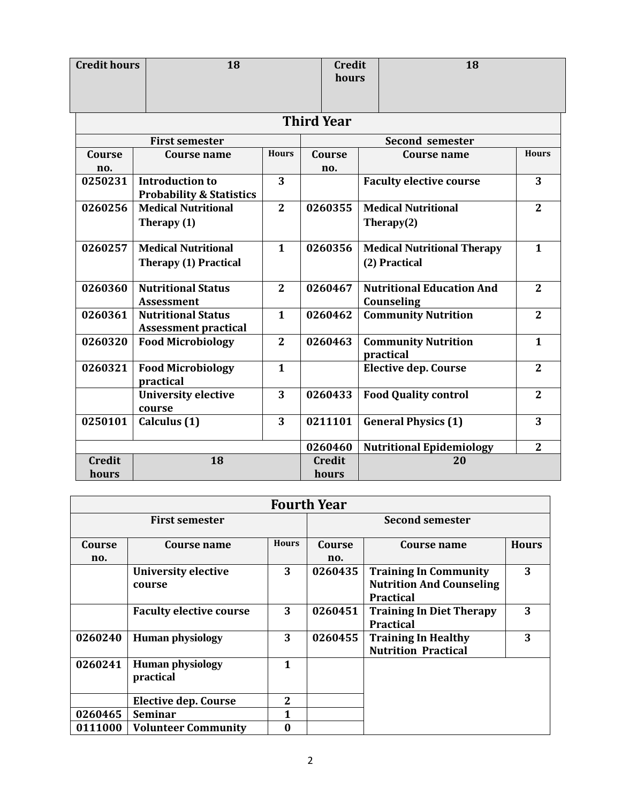| <b>Credit hours</b> | 18                                                            |                |  | <b>Credit</b><br>hours |  | 18                                      |                |
|---------------------|---------------------------------------------------------------|----------------|--|------------------------|--|-----------------------------------------|----------------|
|                     |                                                               |                |  | <b>Third Year</b>      |  |                                         |                |
|                     | <b>First semester</b>                                         |                |  | <b>Second semester</b> |  |                                         |                |
| Course              | Course name                                                   | <b>Hours</b>   |  | Course                 |  | <b>Course name</b>                      | <b>Hours</b>   |
| no.                 |                                                               |                |  | no.                    |  |                                         |                |
| 0250231             | <b>Introduction to</b><br><b>Probability &amp; Statistics</b> | 3              |  |                        |  | <b>Faculty elective course</b>          | 3              |
| 0260256             | <b>Medical Nutritional</b>                                    | $\overline{2}$ |  | 0260355                |  | <b>Medical Nutritional</b>              | $\mathbf{2}$   |
|                     | Therapy $(1)$                                                 |                |  |                        |  | Therapy $(2)$                           |                |
| 0260257             | <b>Medical Nutritional</b>                                    | $\mathbf{1}$   |  | 0260356                |  | <b>Medical Nutritional Therapy</b>      | $\mathbf{1}$   |
|                     | <b>Therapy (1) Practical</b>                                  |                |  |                        |  | (2) Practical                           |                |
| 0260360             | <b>Nutritional Status</b>                                     | $\overline{2}$ |  | 0260467                |  | <b>Nutritional Education And</b>        | $\overline{2}$ |
|                     | <b>Assessment</b>                                             |                |  |                        |  | Counseling                              |                |
| 0260361             | <b>Nutritional Status</b><br><b>Assessment practical</b>      | $\mathbf{1}$   |  | 0260462                |  | <b>Community Nutrition</b>              | $\overline{2}$ |
| 0260320             | <b>Food Microbiology</b>                                      | $\overline{2}$ |  | 0260463                |  | <b>Community Nutrition</b><br>practical | $\mathbf{1}$   |
| 0260321             | <b>Food Microbiology</b><br>practical                         | $\mathbf{1}$   |  |                        |  | <b>Elective dep. Course</b>             | $\overline{2}$ |
|                     | <b>University elective</b><br>course                          | 3              |  | 0260433                |  | <b>Food Quality control</b>             | $\overline{2}$ |
| 0250101             | Calculus (1)                                                  | 3              |  | 0211101                |  | <b>General Physics (1)</b>              | 3              |
|                     |                                                               |                |  | 0260460                |  | <b>Nutritional Epidemiology</b>         | $\overline{2}$ |
| <b>Credit</b>       | 18                                                            |                |  | <b>Credit</b>          |  | 20                                      |                |
| hours               |                                                               |                |  | hours                  |  |                                         |                |

| <b>Fourth Year</b>    |                                      |                        |               |                                                                                     |              |  |
|-----------------------|--------------------------------------|------------------------|---------------|-------------------------------------------------------------------------------------|--------------|--|
| <b>First semester</b> |                                      | <b>Second semester</b> |               |                                                                                     |              |  |
| Course<br>no.         | <b>Course name</b>                   | <b>Hours</b>           | Course<br>no. | Course name                                                                         | <b>Hours</b> |  |
|                       | <b>University elective</b><br>course | 3                      | 0260435       | <b>Training In Community</b><br><b>Nutrition And Counseling</b><br><b>Practical</b> | 3            |  |
|                       | <b>Faculty elective course</b>       | 3                      | 0260451       | <b>Training In Diet Therapy</b><br><b>Practical</b>                                 | 3            |  |
| 0260240               | <b>Human physiology</b>              | 3                      | 0260455       | <b>Training In Healthy</b><br><b>Nutrition Practical</b>                            | 3            |  |
| 0260241               | <b>Human physiology</b><br>practical | 1                      |               |                                                                                     |              |  |
|                       | <b>Elective dep. Course</b>          | 2                      |               |                                                                                     |              |  |
| 0260465               | <b>Seminar</b>                       | 1                      |               |                                                                                     |              |  |
| 0111000               | <b>Volunteer Community</b>           | 0                      |               |                                                                                     |              |  |